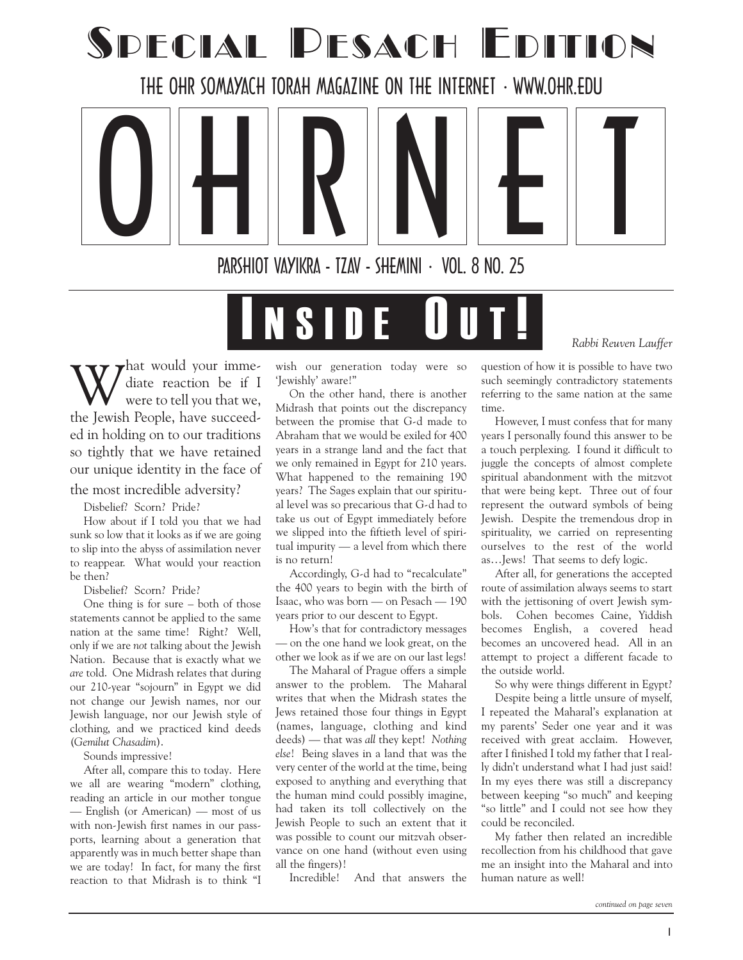## SPECIAL PESACH EDITION

THE OHR SOMAYACH TORAH MAGAZINE ON THE INTERNET WWW.OHR.EDU

 $\begin{array}{|c|c|c|c|c|}\hline \textbf{O} & \textbf{H} & \textbf{R} & \textbf{N} & \textbf{E} & \textbf{I} & \textbf{I} & \textbf{I} & \textbf{I} & \textbf{I} & \textbf{I} & \textbf{I} & \textbf{I} & \textbf{I} & \textbf{I} & \textbf{I} & \textbf{I} & \textbf{I} & \textbf{I} & \textbf{I} & \textbf{I} & \textbf{I} & \textbf{I} & \textbf{I} & \textbf{I} & \textbf{I} & \textbf{I} & \textbf{I} & \textbf{I$ PARSHIOT VAYIKRA - TZAV - SHEMINI · VOL. 8 NO. 25

# I N S I D E O U T !

W that would your imme-<br>were to tell you that we, diate reaction be if I were to tell you that we, the Jewish People, have succeeded in holding on to our traditions so tightly that we have retained our unique identity in the face of the most incredible adversity?

Disbelief? Scorn? Pride?

How about if I told you that we had sunk so low that it looks as if we are going to slip into the abyss of assimilation never to reappear. What would your reaction be then?

Disbelief? Scorn? Pride?

One thing is for sure  $-$  both of those statements cannot be applied to the same nation at the same time! Right? Well, only if we are not talking about the Jewish Nation. Because that is exactly what we are told. One Midrash relates that during our 210-year "sojourn" in Egypt we did not change our Jewish names, nor our Jewish language, nor our Jewish style of clothing, and we practiced kind deeds (Gemilut Chasadim).

Sounds impressive!

After all, compare this to today. Here we all are wearing "modern" clothing, reading an article in our mother tongue — English (or American) — most of us with non-Jewish first names in our passports, learning about a generation that apparently was in much better shape than we are today! In fact, for many the first reaction to that Midrash is to think "I wish our generation today were so 'Jewishly' aware!"

On the other hand, there is another Midrash that points out the discrepancy between the promise that G-d made to Abraham that we would be exiled for 400 years in a strange land and the fact that we only remained in Egypt for 210 years. What happened to the remaining 190 years? The Sages explain that our spiritual level was so precarious that G-d had to take us out of Egypt immediately before we slipped into the fiftieth level of spiritual impurity  $-$  a level from which there is no return!

Accordingly, G-d had to "recalculate" the 400 years to begin with the birth of Isaac, who was born — on Pesach — 190 years prior to our descent to Egypt.

How's that for contradictory messages — on the one hand we look great, on the other we look as if we are on our last legs!

The Maharal of Prague offers a simple answer to the problem. The Maharal writes that when the Midrash states the Jews retained those four things in Egypt (names, language, clothing and kind deeds) — that was all they kept! Nothing else! Being slaves in a land that was the very center of the world at the time, being exposed to anything and everything that the human mind could possibly imagine, had taken its toll collectively on the Jewish People to such an extent that it was possible to count our mitzvah observance on one hand (without even using all the fingers)!

Incredible! And that answers the

question of how it is possible to have two such seemingly contradictory statements referring to the same nation at the same time.

However, I must confess that for many years I personally found this answer to be a touch perplexing. I found it difficult to juggle the concepts of almost complete spiritual abandonment with the mitzvot that were being kept. Three out of four represent the outward symbols of being Jewish. Despite the tremendous drop in spirituality, we carried on representing ourselves to the rest of the world as... Jews! That seems to defy logic.

After all, for generations the accepted route of assimilation always seems to start with the jettisoning of overt Jewish symbols. Cohen becomes Caine, Yiddish becomes English, a covered head becomes an uncovered head. All in an attempt to project a different facade to the outside world.

So why were things different in Egypt? Despite being a little unsure of myself, I repeated the Maharal's explanation at my parents' Seder one year and it was received with great acclaim. However, after I finished I told my father that I really didn't understand what I had just said! In my eyes there was still a discrepancy between keeping "so much" and keeping "so little" and I could not see how they could be reconciled.

My father then related an incredible recollection from his childhood that gave me an insight into the Maharal and into human nature as well!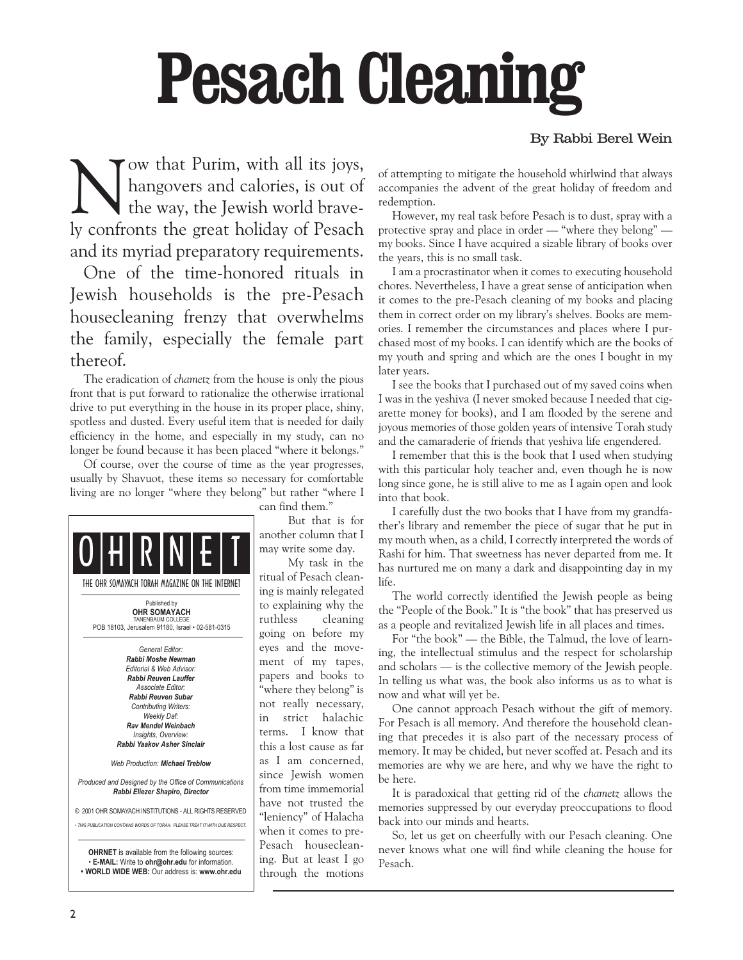# Pesach Cleaning

#### By Rabbi Berel Wein

Now that Purim, with all its joys,<br>hangovers and calories, is out of<br>the way, the Jewish world bravehangovers and calories, is out of the way, the Jewish world bravely confronts the great holiday of Pesach and its myriad preparatory requirements.

One of the time-honored rituals in Jewish households is the pre-Pesach housecleaning frenzy that overwhelms the family, especially the female part thereof.

The eradication of chametz from the house is only the pious front that is put forward to rationalize the otherwise irrational drive to put everything in the house in its proper place, shiny, spotless and dusted. Every useful item that is needed for daily efficiency in the home, and especially in my study, can no longer be found because it has been placed "where it belongs."

Of course, over the course of time as the year progresses, usually by Shavuot, these items so necessary for comfortable living are no longer "where they belong" but rather "where I



can find them.

But that is for another column that I may write some day.

My task in the ritual of Pesach cleaning is mainly relegated to explaining why the ruthless cleaning going on before my eyes and the movement of my tapes, papers and books to "where they belong" is not really necessary, in strict halachic terms. I know that this a lost cause as far as I am concerned, since Jewish women from time immemorial have not trusted the "leniency" of Halacha when it comes to pre-Pesach housecleaning. But at least I go through the motions

of attempting to mitigate the household whirlwind that always accompanies the advent of the great holiday of freedom and redemption.

However, my real task before Pesach is to dust, spray with a protective spray and place in order  $-$  "where they belong"  $$ my books. Since I have acquired a sizable library of books over the years, this is no small task.

I am a procrastinator when it comes to executing household chores. Nevertheless, I have a great sense of anticipation when it comes to the pre-Pesach cleaning of my books and placing them in correct order on my library's shelves. Books are memories. I remember the circumstances and places where I purchased most of my books. I can identify which are the books of my youth and spring and which are the ones I bought in my later years.

I see the books that I purchased out of my saved coins when I was in the yeshiva (I never smoked because I needed that cigarette money for books), and I am flooded by the serene and joyous memories of those golden years of intensive Torah study and the camaraderie of friends that yeshiva life engendered.

I remember that this is the book that I used when studying with this particular holy teacher and, even though he is now long since gone, he is still alive to me as I again open and look into that book.

I carefully dust the two books that I have from my grandfather's library and remember the piece of sugar that he put in my mouth when, as a child, I correctly interpreted the words of Rashi for him. That sweetness has never departed from me. It has nurtured me on many a dark and disappointing day in my life.

The world correctly identified the Jewish people as being the "People of the Book." It is "the book" that has preserved us as a people and revitalized Jewish life in all places and times.

For "the book" — the Bible, the Talmud, the love of learning, the intellectual stimulus and the respect for scholarship and scholars - is the collective memory of the Jewish people. In telling us what was, the book also informs us as to what is now and what will yet be.

One cannot approach Pesach without the gift of memory. For Pesach is all memory. And therefore the household cleaning that precedes it is also part of the necessary process of memory. It may be chided, but never scoffed at. Pesach and its memories are why we are here, and why we have the right to be here.

It is paradoxical that getting rid of the chametz allows the memories suppressed by our everyday preoccupations to flood back into our minds and hearts.

So, let us get on cheerfully with our Pesach cleaning. One never knows what one will find while cleaning the house for Pesach.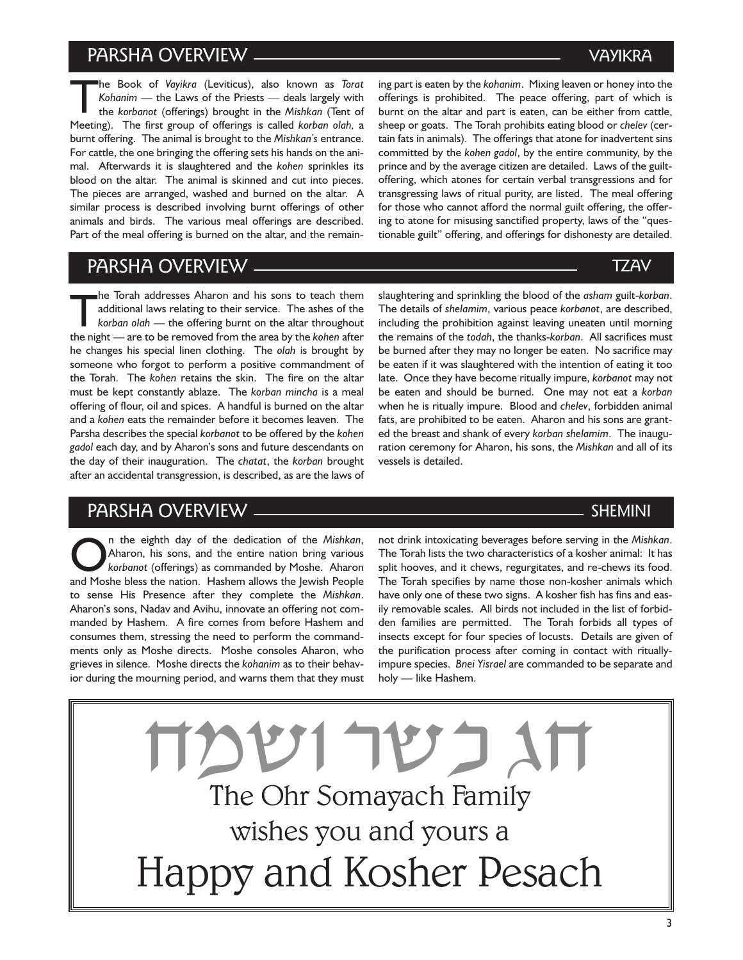## PARSHA OVERVIEW

The Book of *Vayikra* (Leviticus), also known as *Torat*<br>Kohanim — the Laws of the Priests — deals largely with<br>the *korbanot* (offerings) brought in the *Mishkan* (Tent of<br>Meeting). The first groups of effectives is salle Kohanim – the Laws of the Priests – deals largely with the korbanot (offerings) brought in the Mishkan (Tent of Meeting). The first group of offerings is called korban olah, a burnt offering. The animal is brought to the Mishkan's entrance. For cattle, the one bringing the offering sets his hands on the animal. Afterwards it is slaughtered and the kohen sprinkles its blood on the altar. The animal is skinned and cut into pieces. The pieces are arranged, washed and burned on the altar. A similar process is described involving burnt offerings of other animals and birds. The various meal offerings are described. Part of the meal offering is burned on the altar, and the remain-

PARSHA OVERVIEW

the Torah addresses Aharon and his sons to teach them<br>additional laws relating to their service. The ashes of the<br>korban olah — the offering burnt on the altar throughout<br>the pight — are to be removed from the area by the additional laws relating to their service. The ashes of the the night - are to be removed from the area by the kohen after he changes his special linen clothing. The olah is brought by someone who forgot to perform a positive commandment of the Torah. The kohen retains the skin. The fire on the altar must be kept constantly ablaze. The korban mincha is a meal offering of flour, oil and spices. A handful is burned on the altar and a kohen eats the remainder before it becomes leaven. The Parsha describes the special korbanot to be offered by the kohen gadol each day, and by Aharon's sons and future descendants on the day of their inauguration. The chatat, the korban brought after an accidental transgression, is described, as are the laws of

## PARSHA OVERVIEW

The eighth day of the dedication of the Mishkan,<br>
korbanot (offerings) as commanded by Moshe. Aharon<br>
and Moshe bless the nation. Hashem allows the lewish Beople Aharon, his sons, and the entire nation bring various and Moshe bless the nation. Hashem allows the Jewish People to sense His Presence after they complete the Mishkan. Aharon's sons, Nadav and Avihu, innovate an offering not commanded by Hashem. A fire comes from before Hashem and consumes them, stressing the need to perform the commandments only as Moshe directs. Moshe consoles Aharon, who grieves in silence. Moshe directs the kohanim as to their behavior during the mourning period, and warns them that they must ing part is eaten by the kohanim. Mixing leaven or honey into the offerings is prohibited. The peace offering, part of which is burnt on the altar and part is eaten, can be either from cattle, sheep or goats. The Torah prohibits eating blood or chelev (certain fats in animals). The offerings that atone for inadvertent sins committed by the kohen gadol, by the entire community, by the prince and by the average citizen are detailed. Laws of the guiltoffering, which atones for certain verbal transgressions and for transgressing laws of ritual purity, are listed. The meal offering for those who cannot afford the normal guilt offering, the offering to atone for misusing sanctified property, laws of the "questionable guilt" offering, and offerings for dishonesty are detailed.

slaughtering and sprinkling the blood of the asham guilt-korban. The details of shelamim, various peace korbanot, are described, including the prohibition against leaving uneaten until morning the remains of the todah, the thanks-korban. All sacrifices must be burned after they may no longer be eaten. No sacrifice may be eaten if it was slaughtered with the intention of eating it too late. Once they have become ritually impure, korbanot may not be eaten and should be burned. One may not eat a korban when he is ritually impure. Blood and chelev, forbidden animal fats, are prohibited to be eaten. Aharon and his sons are granted the breast and shank of every korban shelamim. The inauguration ceremony for Aharon, his sons, the Mishkan and all of its vessels is detailed.

SHEMINI

not drink intoxicating beverages before serving in the Mishkan. The Torah lists the two characteristics of a kosher animal: It has split hooves, and it chews, regurgitates, and re-chews its food. The Torah specifies by name those non-kosher animals which have only one of these two signs. A kosher fish has fins and easily removable scales. All birds not included in the list of forbidden families are permitted. The Torah forbids all types of insects except for four species of locusts. Details are given of the purification process after coming in contact with rituallyimpure species. Bnei Yisrael are commanded to be separate and holy - like Hashem.

The Ohr Somayach Family wishes you and yours a Happy and Kosher Pesach  $\frac{1}{N}\sum_{i=1}^{N}$ 

3

## VAYIKRA

## TZAV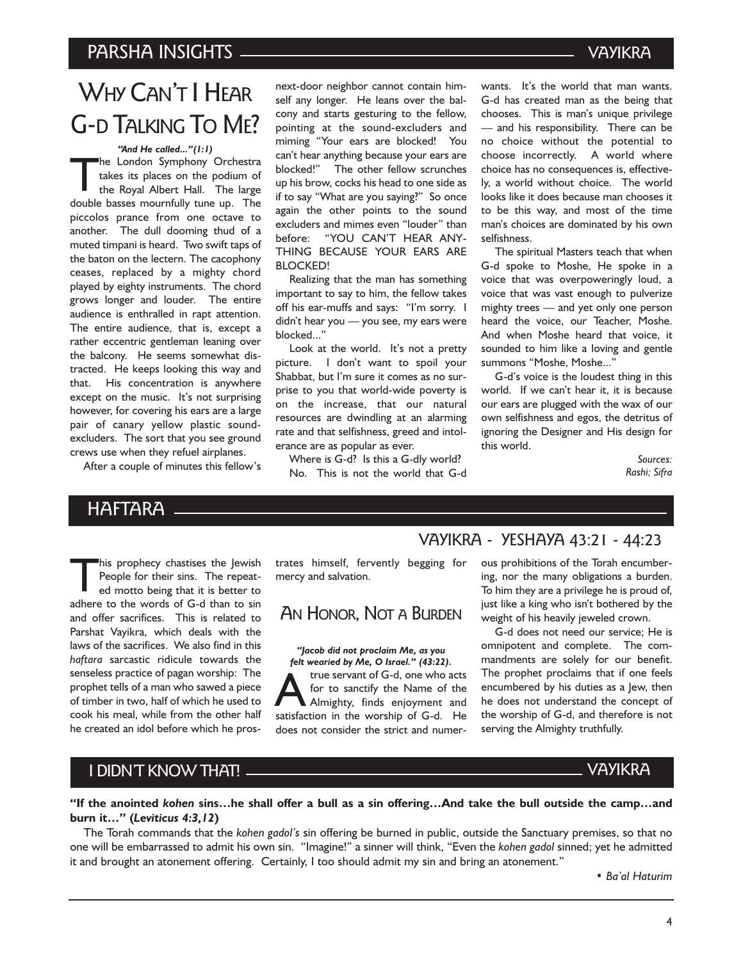## PARSHA INSIGHTS VAYIKRA

## WHY CAN'T I HEAR G-D TALKING TO ME?

"And He called..."(1:1)

The London Symphony Orchestra takes its places on the podium of the Royal Albert Hall. The large double basses mournfully tune up. The piccolos prance from one octave to another. The dull dooming thud of a muted timpani is heard. Two swift taps of the baton on the lectern. The cacophony ceases, replaced by a mighty chord played by eighty instruments. The chord grows longer and louder. The entire audience is enthralled in rapt attention. The entire audience, that is, except a rather eccentric gentleman leaning over the balcony. He seems somewhat distracted. He keeps looking this way and that. His concentration is anywhere except on the music. It's not surprising however, for covering his ears are a large pair of canary yellow plastic soundexcluders. The sort that you see ground crews use when they refuel airplanes.

After a couple of minutes this fellow's

next-door neighbor cannot contain himself any longer. He leans over the balcony and starts gesturing to the fellow, pointing at the sound-excluders and miming Your ears are blocked! You can't hear anything because your ears are blocked!" The other fellow scrunches up his brow, cocks his head to one side as if to say "What are you saying?" So once again the other points to the sound excluders and mimes even "louder" than before: YOU CANT HEAR ANY-THING BECAUSE YOUR EARS ARE BLOCKED!

Realizing that the man has something important to say to him, the fellow takes off his ear-muffs and says: "I'm sorry. I didn't hear you - you see, my ears were blocked..."

Look at the world. It's not a pretty picture. I don't want to spoil your Shabbat, but I'm sure it comes as no surprise to you that world-wide poverty is on the increase, that our natural resources are dwindling at an alarming rate and that selfishness, greed and intolerance are as popular as ever.

Where is G-d? Is this a G-dly world? No. This is not the world that G-d wants. It's the world that man wants. G-d has created man as the being that chooses. This is man's unique privilege - and his responsibility. There can be no choice without the potential to choose incorrectly. A world where choice has no consequences is, effectively, a world without choice. The world looks like it does because man chooses it to be this way, and most of the time man's choices are dominated by his own selfishness.

The spiritual Masters teach that when G-d spoke to Moshe, He spoke in a voice that was overpoweringly loud, a voice that was vast enough to pulverize mighty trees - and yet only one person heard the voice, our Teacher, Moshe. And when Moshe heard that voice, it sounded to him like a loving and gentle summons "Moshe, Moshe..."

G-d's voice is the loudest thing in this world. If we can't hear it, it is because our ears are plugged with the wax of our own selfishness and egos, the detritus of ignoring the Designer and His design for this world.

> Sources: Rashi; Sifra

## **HAFTARA**

his prophecy chastises the Jewish<br>People for their sins. The repeated motto being that it is better to<br>relate to the words of the single People for their sins. The repeated motto being that it is better to adhere to the words of G-d than to sin and offer sacrifices. This is related to Parshat Vayikra, which deals with the laws of the sacrifices. We also find in this haftara sarcastic ridicule towards the senseless practice of pagan worship: The prophet tells of a man who sawed a piece of timber in two, half of which he used to cook his meal, while from the other half he created an idol before which he prostrates himself, fervently begging for mercy and salvation.

## AN HONOR, NOT A BURDEN

"Jacob did not proclaim Me, as you felt wearied by Me, O Israel." (43:22). The servant of G-d, one who acts<br>for to sanctify the Name of the<br>Almighty, finds enjoyment and<br>satisfaction in the worship of G-d for to sanctify the Name of the Almighty, finds enjoyment and satisfaction in the worship of G-d. He does not consider the strict and numer-

## VAYIKRA - YESHAYA 43:21 - 44:23

ous prohibitions of the Torah encumbering, nor the many obligations a burden. To him they are a privilege he is proud of, just like a king who isn't bothered by the weight of his heavily jeweled crown.

G-d does not need our service; He is omnipotent and complete. The commandments are solely for our benefit. The prophet proclaims that if one feels encumbered by his duties as a Jew, then he does not understand the concept of the worship of G-d, and therefore is not serving the Almighty truthfully.

## I DIDN'T KNOW THAT!

#### "If the anointed kohen sins...he shall offer a bull as a sin offering...And take the bull outside the camp...and burn it..." (Leviticus 4:3,12)

The Torah commands that the kohen gadol's sin offering be burned in public, outside the Sanctuary premises, so that no one will be embarrassed to admit his own sin. "Imagine!" a sinner will think, "Even the kohen gadol sinned; yet he admitted it and brought an atonement offering. Certainly, I too should admit my sin and bring an atonement.

• Ba'al Haturim

VAYIKRA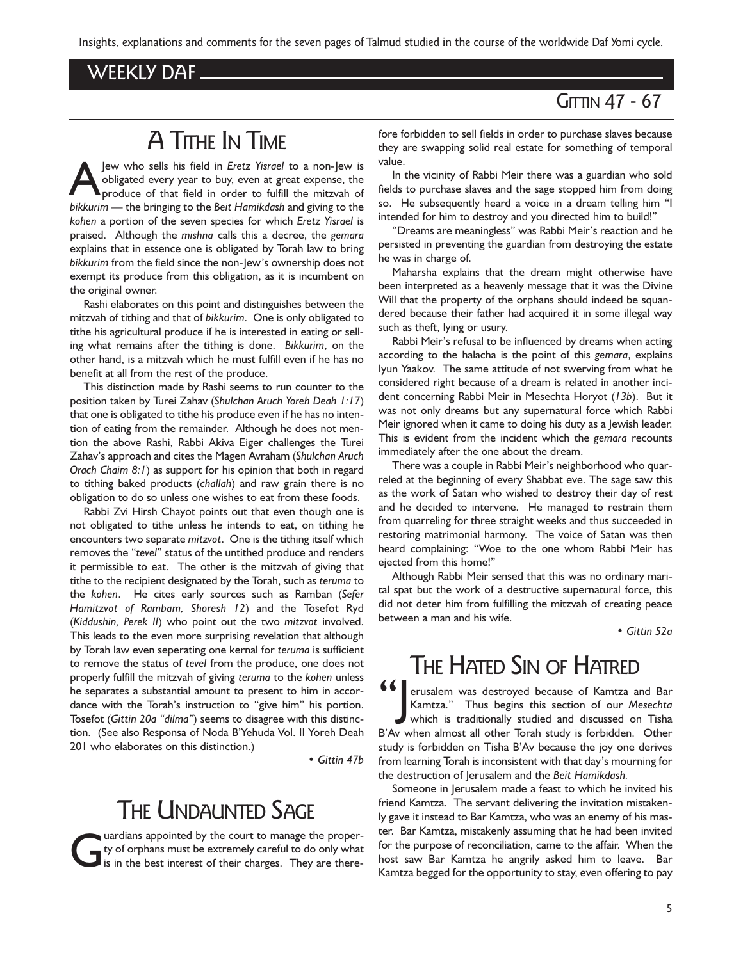Insights, explanations and comments for the seven pages of Talmud studied in the course of the worldwide Daf Yomi cycle.

## WEEKLY DAF

## **GITTIN 47 - 67**

## A TITHE IN TIME

Jew who sells his field in *Eretz Yisrael* to a non-Jew is<br>obligated every year to buy, even at great expense, the<br>produce of that field in order to fulfill the mitzvah of<br>historical change is the historical of the field o obligated every year to buy, even at great expense, the produce of that field in order to fulfill the mitzvah of bikkurim - the bringing to the Beit Hamikdash and giving to the kohen a portion of the seven species for which Eretz Yisrael is praised. Although the mishna calls this a decree, the gemara explains that in essence one is obligated by Torah law to bring bikkurim from the field since the non-Jew's ownership does not exempt its produce from this obligation, as it is incumbent on the original owner.

Rashi elaborates on this point and distinguishes between the mitzvah of tithing and that of bikkurim. One is only obligated to tithe his agricultural produce if he is interested in eating or selling what remains after the tithing is done. Bikkurim, on the other hand, is a mitzvah which he must fulfill even if he has no benefit at all from the rest of the produce.

This distinction made by Rashi seems to run counter to the position taken by Turei Zahav (Shulchan Aruch Yoreh Deah 1:17) that one is obligated to tithe his produce even if he has no intention of eating from the remainder. Although he does not mention the above Rashi, Rabbi Akiva Eiger challenges the Turei Zahav's approach and cites the Magen Avraham (Shulchan Aruch Orach Chaim 8:1) as support for his opinion that both in regard to tithing baked products (challah) and raw grain there is no obligation to do so unless one wishes to eat from these foods.

Rabbi Zvi Hirsh Chayot points out that even though one is not obligated to tithe unless he intends to eat, on tithing he encounters two separate mitzvot. One is the tithing itself which removes the "tevel" status of the untithed produce and renders it permissible to eat. The other is the mitzvah of giving that tithe to the recipient designated by the Torah, such as teruma to the kohen. He cites early sources such as Ramban (Sefer Hamitzvot of Rambam, Shoresh 12) and the Tosefot Ryd (Kiddushin, Perek II) who point out the two mitzvot involved. This leads to the even more surprising revelation that although by Torah law even seperating one kernal for teruma is sufficient to remove the status of tevel from the produce, one does not properly fulfill the mitzvah of giving teruma to the kohen unless he separates a substantial amount to present to him in accordance with the Torah's instruction to "give him" his portion. Tosefot (Gittin 20a "dilma") seems to disagree with this distinction. (See also Responsa of Noda BYehuda Vol. II Yoreh Deah 201 who elaborates on this distinction.)

Gittin 47b

## **THE UNDAUNTED SAGE**

Unitary of orphans must be extremely careful to do only what<br>is in the best interest of their charges. They are therety of orphans must be extremely careful to do only what fore forbidden to sell fields in order to purchase slaves because they are swapping solid real estate for something of temporal value.

In the vicinity of Rabbi Meir there was a guardian who sold fields to purchase slaves and the sage stopped him from doing so. He subsequently heard a voice in a dream telling him "I intended for him to destroy and you directed him to build!

"Dreams are meaningless" was Rabbi Meir's reaction and he persisted in preventing the guardian from destroying the estate he was in charge of.

Maharsha explains that the dream might otherwise have been interpreted as a heavenly message that it was the Divine Will that the property of the orphans should indeed be squandered because their father had acquired it in some illegal way such as theft, lying or usury.

Rabbi Meir's refusal to be influenced by dreams when acting according to the halacha is the point of this gemara, explains Iyun Yaakov. The same attitude of not swerving from what he considered right because of a dream is related in another incident concerning Rabbi Meir in Mesechta Horyot (13b). But it was not only dreams but any supernatural force which Rabbi Meir ignored when it came to doing his duty as a Jewish leader. This is evident from the incident which the gemara recounts immediately after the one about the dream.

There was a couple in Rabbi Meir's neighborhood who quarreled at the beginning of every Shabbat eve. The sage saw this as the work of Satan who wished to destroy their day of rest and he decided to intervene. He managed to restrain them from quarreling for three straight weeks and thus succeeded in restoring matrimonial harmony. The voice of Satan was then heard complaining: Woe to the one whom Rabbi Meir has ejected from this home!

Although Rabbi Meir sensed that this was no ordinary marital spat but the work of a destructive supernatural force, this did not deter him from fulfilling the mitzvah of creating peace between a man and his wife.

Gittin 52a

## THE HATED SIN OF HATRED

**16 Serusalem was destroyed because of Kamtza and Bar Kamtza.**" Thus begins this section of our Mesechta which is traditionally studied and discussed on Tisha Kamtza." Thus begins this section of our Mesechta which is traditionally studied and discussed on Tisha B'Av when almost all other Torah study is forbidden. Other study is forbidden on Tisha B'Av because the joy one derives from learning Torah is inconsistent with that day's mourning for the destruction of Jerusalem and the Beit Hamikdash.

Someone in Jerusalem made a feast to which he invited his friend Kamtza. The servant delivering the invitation mistakenly gave it instead to Bar Kamtza, who was an enemy of his master. Bar Kamtza, mistakenly assuming that he had been invited for the purpose of reconciliation, came to the affair. When the host saw Bar Kamtza he angrily asked him to leave. Bar Kamtza begged for the opportunity to stay, even offering to pay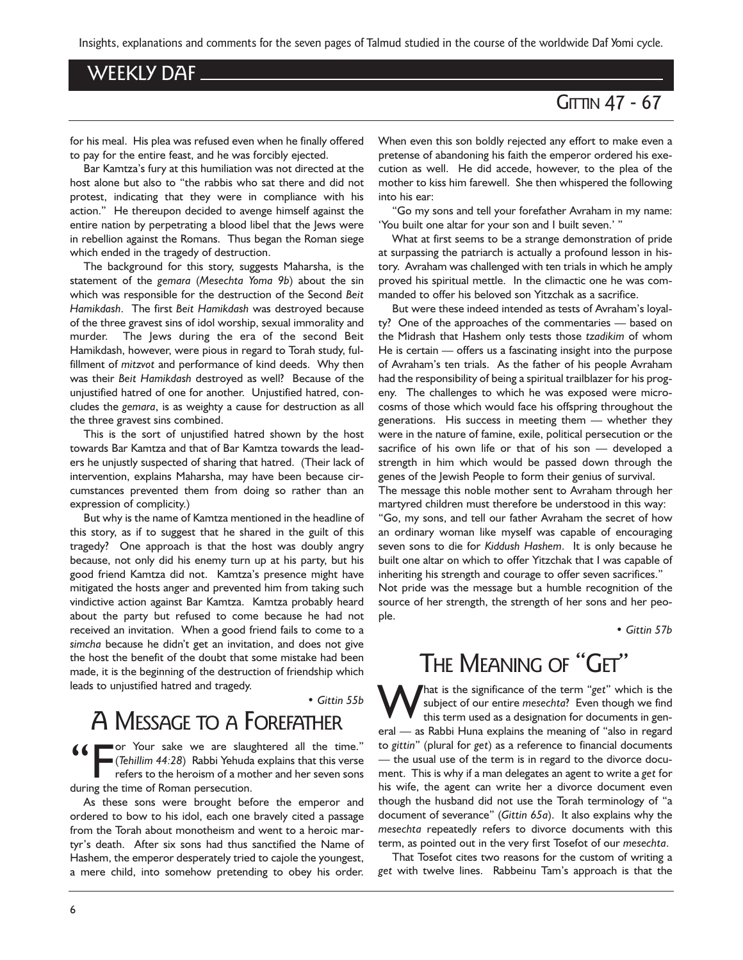Insights, explanations and comments for the seven pages of Talmud studied in the course of the worldwide Daf Yomi cycle.

## WEEKLY DAF

## **GITTIN 47 - 67**

for his meal. His plea was refused even when he finally offered to pay for the entire feast, and he was forcibly ejected.

Bar Kamtza's fury at this humiliation was not directed at the host alone but also to "the rabbis who sat there and did not protest, indicating that they were in compliance with his action." He thereupon decided to avenge himself against the entire nation by perpetrating a blood libel that the Jews were in rebellion against the Romans. Thus began the Roman siege which ended in the tragedy of destruction.

The background for this story, suggests Maharsha, is the statement of the gemara (Mesechta Yoma 9b) about the sin which was responsible for the destruction of the Second Beit Hamikdash. The first Beit Hamikdash was destroyed because of the three gravest sins of idol worship, sexual immorality and murder. The Jews during the era of the second Beit Hamikdash, however, were pious in regard to Torah study, fulfillment of mitzvot and performance of kind deeds. Why then was their Beit Hamikdash destroyed as well? Because of the unjustified hatred of one for another. Unjustified hatred, concludes the gemara, is as weighty a cause for destruction as all the three gravest sins combined.

This is the sort of unjustified hatred shown by the host towards Bar Kamtza and that of Bar Kamtza towards the leaders he unjustly suspected of sharing that hatred. (Their lack of intervention, explains Maharsha, may have been because circumstances prevented them from doing so rather than an expression of complicity.)

But why is the name of Kamtza mentioned in the headline of this story, as if to suggest that he shared in the guilt of this tragedy? One approach is that the host was doubly angry because, not only did his enemy turn up at his party, but his good friend Kamtza did not. Kamtza's presence might have mitigated the hosts anger and prevented him from taking such vindictive action against Bar Kamtza. Kamtza probably heard about the party but refused to come because he had not received an invitation. When a good friend fails to come to a simcha because he didn't get an invitation, and does not give the host the benefit of the doubt that some mistake had been made, it is the beginning of the destruction of friendship which leads to unjustified hatred and tragedy.

Gittin 55b

ple.

## A MESSAGE TO A FOREFATHER

**66** For Your sake we are slaughtered all the time." (Tehillim 44:28) Rabbi Yehuda explains that this verse refers to the heroism of a mother and her seven sons during the time of Roman persecution.

As these sons were brought before the emperor and ordered to bow to his idol, each one bravely cited a passage from the Torah about monotheism and went to a heroic martyr's death. After six sons had thus sanctified the Name of Hashem, the emperor desperately tried to cajole the youngest, a mere child, into somehow pretending to obey his order. When even this son boldly rejected any effort to make even a pretense of abandoning his faith the emperor ordered his execution as well. He did accede, however, to the plea of the mother to kiss him farewell. She then whispered the following into his ear:

Go my sons and tell your forefather Avraham in my name: 'You built one altar for your son and I built seven.' "

What at first seems to be a strange demonstration of pride at surpassing the patriarch is actually a profound lesson in history. Avraham was challenged with ten trials in which he amply proved his spiritual mettle. In the climactic one he was commanded to offer his beloved son Yitzchak as a sacrifice.

But were these indeed intended as tests of Avraham's loyalty? One of the approaches of the commentaries – based on the Midrash that Hashem only tests those tzadikim of whom He is certain  $-$  offers us a fascinating insight into the purpose of Avraham's ten trials. As the father of his people Avraham had the responsibility of being a spiritual trailblazer for his progeny. The challenges to which he was exposed were microcosms of those which would face his offspring throughout the generations. His success in meeting them whether they were in the nature of famine, exile, political persecution or the sacrifice of his own life or that of his son  $-$  developed a strength in him which would be passed down through the genes of the Jewish People to form their genius of survival.

The message this noble mother sent to Avraham through her martyred children must therefore be understood in this way:

Go, my sons, and tell our father Avraham the secret of how an ordinary woman like myself was capable of encouraging seven sons to die for Kiddush Hashem. It is only because he built one altar on which to offer Yitzchak that I was capable of inheriting his strength and courage to offer seven sacrifices." Not pride was the message but a humble recognition of the source of her strength, the strength of her sons and her peo-

Gittin 57b

## THE MEANING OF "GET"

That is the significance of the term "get" which is the subject of our entire mesechta? Even though we find this term used as a designation for documents in general - as Rabbi Huna explains the meaning of "also in regard to gittin" (plural for get) as a reference to financial documents - the usual use of the term is in regard to the divorce document. This is why if a man delegates an agent to write a get for his wife, the agent can write her a divorce document even though the husband did not use the Torah terminology of "a document of severance" (Gittin  $65a$ ). It also explains why the mesechta repeatedly refers to divorce documents with this term, as pointed out in the very first Tosefot of our mesechta.

That Tosefot cites two reasons for the custom of writing a get with twelve lines. Rabbeinu Tam's approach is that the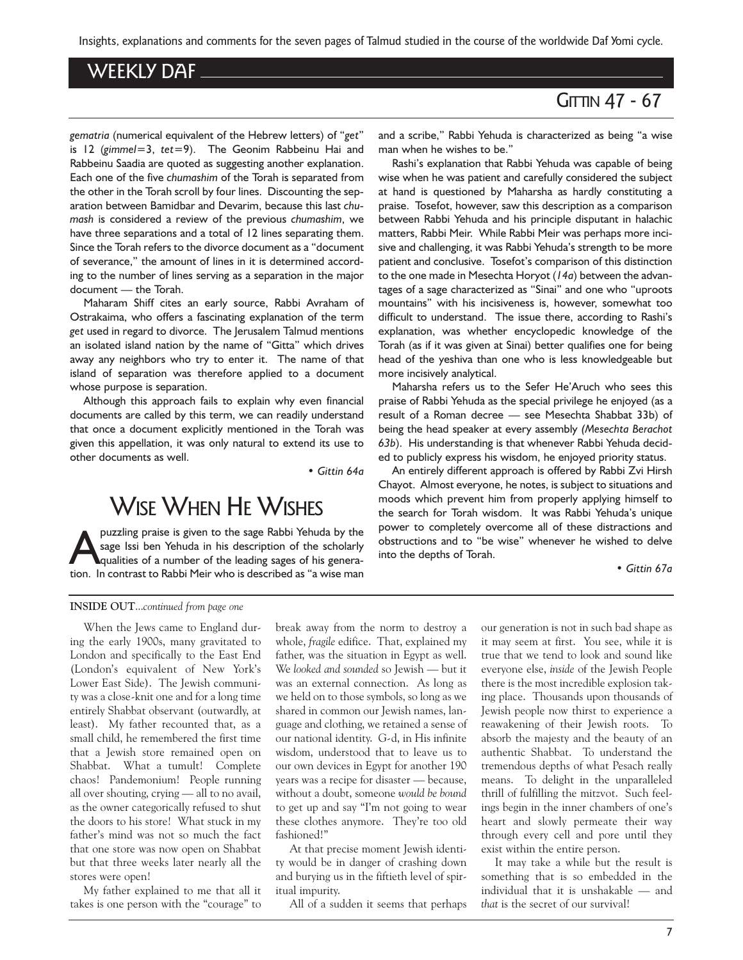Insights, explanations and comments for the seven pages of Talmud studied in the course of the worldwide Daf Yomi cycle.

## WEEKLY DAF

## **GITTIN 47 - 67**

gematria (numerical equivalent of the Hebrew letters) of "get" is 12 (gimmel=3, tet=9). The Geonim Rabbeinu Hai and Rabbeinu Saadia are quoted as suggesting another explanation. Each one of the five chumashim of the Torah is separated from the other in the Torah scroll by four lines. Discounting the separation between Bamidbar and Devarim, because this last chumash is considered a review of the previous chumashim, we have three separations and a total of 12 lines separating them. Since the Torah refers to the divorce document as a "document of severance," the amount of lines in it is determined according to the number of lines serving as a separation in the major document - the Torah.

Maharam Shiff cites an early source, Rabbi Avraham of Ostrakaima, who offers a fascinating explanation of the term get used in regard to divorce. The Jerusalem Talmud mentions an isolated island nation by the name of "Gitta" which drives away any neighbors who try to enter it. The name of that island of separation was therefore applied to a document whose purpose is separation.

Although this approach fails to explain why even financial documents are called by this term, we can readily understand that once a document explicitly mentioned in the Torah was given this appellation, it was only natural to extend its use to other documents as well.

Gittin 64a

## WISE WHEN HE WISHES

puzzling praise is given to the sage Rabbi Yehuda by the<br>sage Issi ben Yehuda in his description of the scholarly<br>qualities of a number of the leading sages of his genera-<br>tion. In contrast to Rabbi Meir who is described a sage Issi ben Yehuda in his description of the scholarly tion. In contrast to Rabbi Meir who is described as "a wise man

and a scribe," Rabbi Yehuda is characterized as being "a wise man when he wishes to be.

Rashi's explanation that Rabbi Yehuda was capable of being wise when he was patient and carefully considered the subject at hand is questioned by Maharsha as hardly constituting a praise. Tosefot, however, saw this description as a comparison between Rabbi Yehuda and his principle disputant in halachic matters, Rabbi Meir. While Rabbi Meir was perhaps more incisive and challenging, it was Rabbi Yehuda's strength to be more patient and conclusive. Tosefot's comparison of this distinction to the one made in Mesechta Horyot  $(14a)$  between the advantages of a sage characterized as "Sinai" and one who "uproots mountains" with his incisiveness is, however, somewhat too difficult to understand. The issue there, according to Rashi's explanation, was whether encyclopedic knowledge of the Torah (as if it was given at Sinai) better qualifies one for being head of the yeshiva than one who is less knowledgeable but more incisively analytical.

Maharsha refers us to the Sefer He'Aruch who sees this praise of Rabbi Yehuda as the special privilege he enjoyed (as a result of a Roman decree - see Mesechta Shabbat 33b) of being the head speaker at every assembly (Mesechta Berachot 63b). His understanding is that whenever Rabbi Yehuda decided to publicly express his wisdom, he enjoyed priority status.

An entirely different approach is offered by Rabbi Zvi Hirsh Chayot. Almost everyone, he notes, is subject to situations and moods which prevent him from properly applying himself to the search for Torah wisdom. It was Rabbi Yehuda's unique power to completely overcome all of these distractions and obstructions and to "be wise" whenever he wished to delve into the depths of Torah.

#### Gittin 67a

#### INSIDE OUT...continued from page one

When the Jews came to England during the early 1900s, many gravitated to London and specifically to the East End (London's equivalent of New York's Lower East Side). The Jewish community was a close-knit one and for a long time entirely Shabbat observant (outwardly, at least). My father recounted that, as a small child, he remembered the first time that a Jewish store remained open on Shabbat. What a tumult! Complete chaos! Pandemonium! People running all over shouting, crying - all to no avail, as the owner categorically refused to shut the doors to his store! What stuck in my father's mind was not so much the fact that one store was now open on Shabbat but that three weeks later nearly all the stores were open!

My father explained to me that all it takes is one person with the "courage" to break away from the norm to destroy a whole, fragile edifice. That, explained my father, was the situation in Egypt as well. We looked and sounded so Jewish - but it was an external connection. As long as we held on to those symbols, so long as we shared in common our Jewish names, language and clothing, we retained a sense of our national identity. G-d, in His infinite wisdom, understood that to leave us to our own devices in Egypt for another 190 years was a recipe for disaster - because, without a doubt, someone would be bound to get up and say "I'm not going to wear these clothes anymore. They're too old fashioned!

At that precise moment Jewish identity would be in danger of crashing down and burying us in the fiftieth level of spiritual impurity.

All of a sudden it seems that perhaps

our generation is not in such bad shape as it may seem at first. You see, while it is true that we tend to look and sound like everyone else, inside of the Jewish People there is the most incredible explosion taking place. Thousands upon thousands of Jewish people now thirst to experience a reawakening of their Jewish roots. To absorb the majesty and the beauty of an authentic Shabbat. To understand the tremendous depths of what Pesach really means. To delight in the unparalleled thrill of fulfilling the mitzvot. Such feelings begin in the inner chambers of one's heart and slowly permeate their way through every cell and pore until they exist within the entire person.

It may take a while but the result is something that is so embedded in the individual that it is unshakable  $-$  and that is the secret of our survival!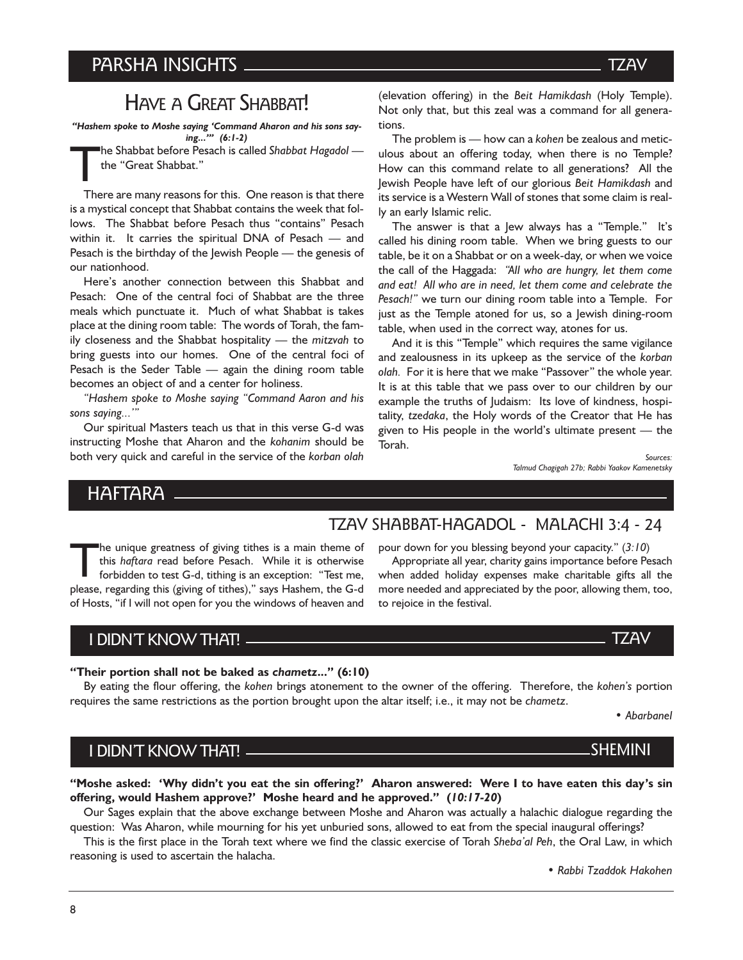## HAVE A GREAT SHABBAT!

Hashem spoke to Moshe saying Command Aharon and his sons saying..." (6:1-2)

The Shabbat before Pesach is called Shabbat Hagadol the "Great Shabbat."

There are many reasons for this. One reason is that there is a mystical concept that Shabbat contains the week that follows. The Shabbat before Pesach thus "contains" Pesach within it. It carries the spiritual DNA of Pesach  $-$  and Pesach is the birthday of the Jewish People – the genesis of our nationhood.

Here's another connection between this Shabbat and Pesach: One of the central foci of Shabbat are the three meals which punctuate it. Much of what Shabbat is takes place at the dining room table: The words of Torah, the family closeness and the Shabbat hospitality  $-$  the mitzvah to bring guests into our homes. One of the central foci of Pesach is the Seder Table  $-$  again the dining room table becomes an object of and a center for holiness.

"Hashem spoke to Moshe saying "Command Aaron and his sons saying..."

Our spiritual Masters teach us that in this verse G-d was instructing Moshe that Aharon and the kohanim should be both very quick and careful in the service of the korban olah (elevation offering) in the Beit Hamikdash (Holy Temple). Not only that, but this zeal was a command for all generations.

The problem is  $-$  how can a kohen be zealous and meticulous about an offering today, when there is no Temple? How can this command relate to all generations? All the Jewish People have left of our glorious Beit Hamikdash and its service is a Western Wall of stones that some claim is really an early Islamic relic.

The answer is that a Jew always has a "Temple." It's called his dining room table. When we bring guests to our table, be it on a Shabbat or on a week-day, or when we voice the call of the Haggada: "All who are hungry, let them come and eat! All who are in need, let them come and celebrate the Pesach!" we turn our dining room table into a Temple. For just as the Temple atoned for us, so a Jewish dining-room table, when used in the correct way, atones for us.

And it is this "Temple" which requires the same vigilance and zealousness in its upkeep as the service of the korban olah. For it is here that we make "Passover" the whole year. It is at this table that we pass over to our children by our example the truths of Judaism: Its love of kindness, hospitality, tzedaka, the Holy words of the Creator that He has given to His people in the world's ultimate present  $-$  the Torah.

> Sources: Talmud Chagigah 27b; Rabbi Yaakov Kamenetsky

## HAFTARA

## TZAV SHABBAT-HAGADOL - MALACHI 3:4 - 24

to rejoice in the festival.

pour down for you blessing beyond your capacity."  $(3:10)$ Appropriate all year, charity gains importance before Pesach when added holiday expenses make charitable gifts all the more needed and appreciated by the poor, allowing them, too,

The unique greatness of giving tithes is a main theme of this haftara read before Pesach. While it is otherwise forbidden to test G-d, tithing is an exception: "Test me, please, regarding this (giving of tithes)," says Hashem, the G-d of Hosts, "if I will not open for you the windows of heaven and

## I DIDNT KNOW THAT!

#### "Their portion shall not be baked as chametz..." (6:10)

By eating the flour offering, the kohen brings atonement to the owner of the offering. Therefore, the kohen's portion requires the same restrictions as the portion brought upon the altar itself; i.e., it may not be chametz.

Abarbanel

## I DIDNT KNOW THAT!

"Moshe asked: 'Why didn't you eat the sin offering?' Aharon answered: Were I to have eaten this day's sin offering, would Hashem approve?' Moshe heard and he approved." (10:17-20)

Our Sages explain that the above exchange between Moshe and Aharon was actually a halachic dialogue regarding the question: Was Aharon, while mourning for his yet unburied sons, allowed to eat from the special inaugural offerings?

This is the first place in the Torah text where we find the classic exercise of Torah Sheba'al Peh, the Oral Law, in which reasoning is used to ascertain the halacha.

Rabbi Tzaddok Hakohen

#### **TZAV**

## **SHEMINI**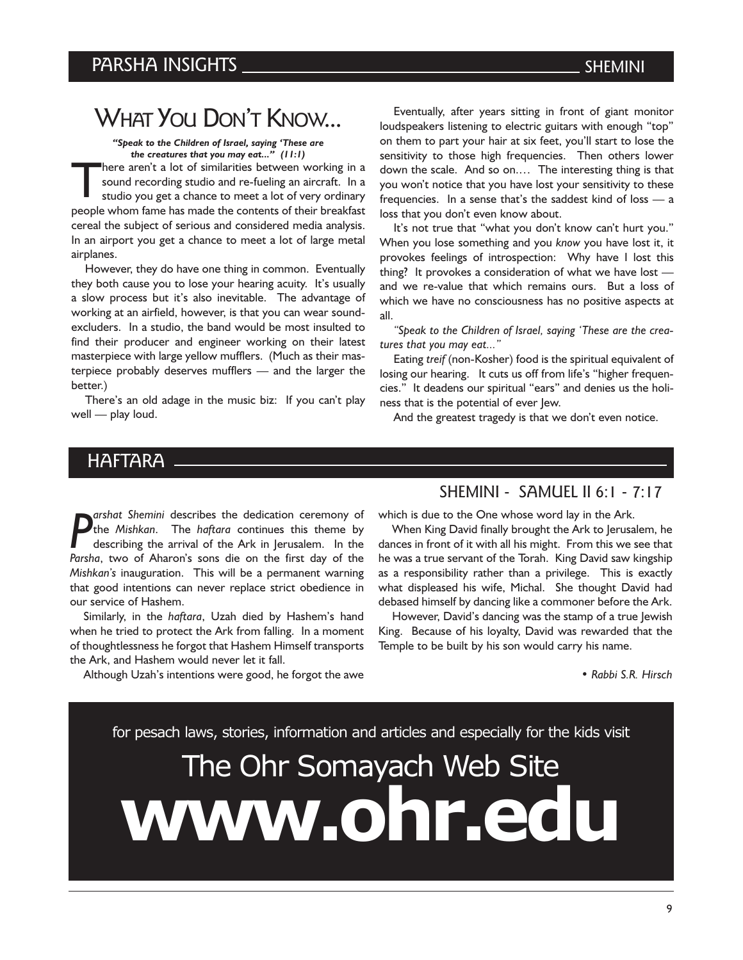## WHAT YOU DON'T KNOW...

Speak to the Children of Israel, saying These are the creatures that you may eat..."  $(11:1)$ 

here aren't a lot of similarities between working in a sound recording studio and re-fueling an aircraft. In a studio you get a chance to meet a lot of very ordinary people whom fame has made the contents of their breakfast cereal the subject of serious and considered media analysis. In an airport you get a chance to meet a lot of large metal airplanes.

However, they do have one thing in common. Eventually they both cause you to lose your hearing acuity. It's usually a slow process but it's also inevitable. The advantage of working at an airfield, however, is that you can wear soundexcluders. In a studio, the band would be most insulted to find their producer and engineer working on their latest masterpiece with large yellow mufflers. (Much as their masterpiece probably deserves mufflers  $-$  and the larger the better.)

There's an old adage in the music biz: If you can't play  $well$   $-$  play loud.

Eventually, after years sitting in front of giant monitor loudspeakers listening to electric guitars with enough "top" on them to part your hair at six feet, you'll start to lose the sensitivity to those high frequencies. Then others lower down the scale. And so on.... The interesting thing is that you won't notice that you have lost your sensitivity to these frequencies. In a sense that's the saddest kind of loss  $-$  a loss that you don't even know about.

It's not true that "what you don't know can't hurt you." When you lose something and you know you have lost it, it provokes feelings of introspection: Why have I lost this thing? It provokes a consideration of what we have lost and we re-value that which remains ours. But a loss of which we have no consciousness has no positive aspects at all.

Speak to the Children of Israel, saying These are the creatures that you may eat..."

Eating treif (non-Kosher) food is the spiritual equivalent of losing our hearing. It cuts us off from life's "higher frequencies." It deadens our spiritual "ears" and denies us the holiness that is the potential of ever Jew.

And the greatest tragedy is that we don't even notice.

## HAFTARA

P<br>Parsh arshat Shemini describes the dedication ceremony of the *Mishkan*. The *haftara* continues this theme by describing the arrival of the Ark in Jerusalem. In the Parsha, two of Aharon's sons die on the first day of the Mishkan's inauguration. This will be a permanent warning that good intentions can never replace strict obedience in our service of Hashem.

Similarly, in the *haftara*, Uzah died by Hashem's hand when he tried to protect the Ark from falling. In a moment of thoughtlessness he forgot that Hashem Himself transports the Ark, and Hashem would never let it fall.

Although Uzah's intentions were good, he forgot the awe

#### SHEMINI - SAMUEL II 6:1 - 7:17

which is due to the One whose word lay in the Ark.

When King David finally brought the Ark to Jerusalem, he dances in front of it with all his might. From this we see that he was a true servant of the Torah. King David saw kingship as a responsibility rather than a privilege. This is exactly what displeased his wife, Michal. She thought David had debased himself by dancing like a commoner before the Ark.

However, David's dancing was the stamp of a true Jewish King. Because of his loyalty, David was rewarded that the Temple to be built by his son would carry his name.

Rabbi S.R. Hirsch

for pesach laws, stories, information and articles and especially for the kids visit

# The Ohr Somayach Web Site www.ohr.ed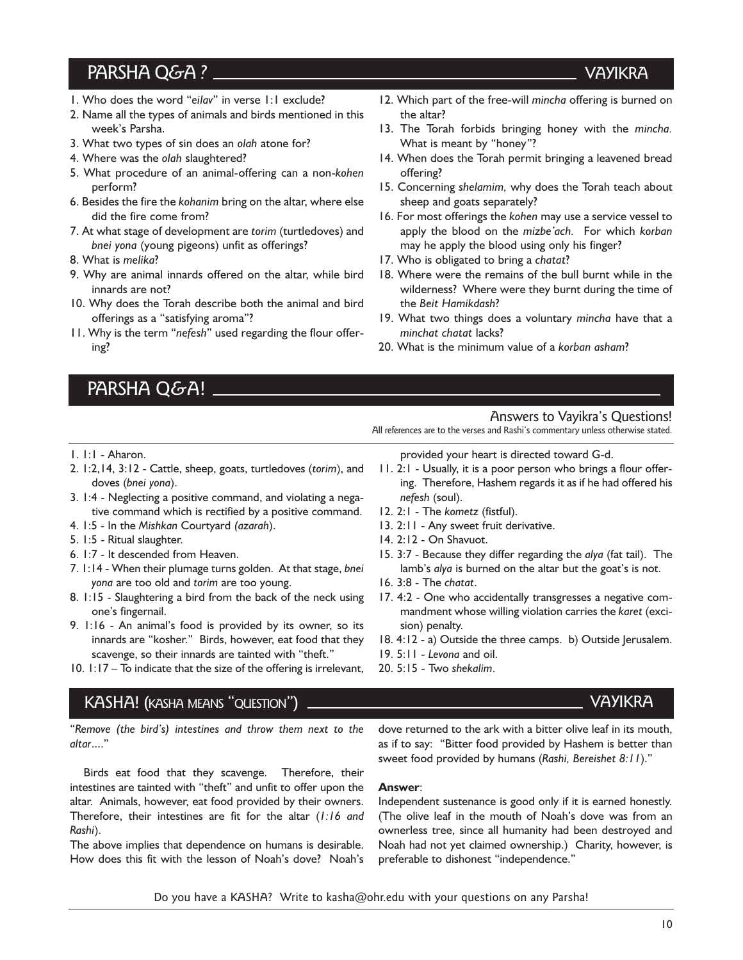## PARSHA Q&A?

- 1. Who does the word "eilav" in verse 1:1 exclude?
- 2. Name all the types of animals and birds mentioned in this week's Parsha.
- 3. What two types of sin does an olah atone for?
- 4. Where was the olah slaughtered?
- 5. What procedure of an animal-offering can a non-kohen perform?
- 6. Besides the fire the kohanim bring on the altar, where else did the fire come from?
- 7. At what stage of development are torim (turtledoves) and bnei yona (young pigeons) unfit as offerings?
- 8. What is melika?

1. 1:1 - Aharon.

doves (bnei yona).

5. 1:5 - Ritual slaughter.

one's fingernail.

4. 1:5 - In the Mishkan Courtyard (azarah).

6. 1:7 - It descended from Heaven.

- 9. Why are animal innards offered on the altar, while bird innards are not?
- 10. Why does the Torah describe both the animal and bird offerings as a "satisfying aroma"?
- 11. Why is the term "nefesh" used regarding the flour offering?

2. 1:2,14, 3:12 - Cattle, sheep, goats, turtledoves (torim), and

3. 1:4 - Neglecting a positive command, and violating a negative command which is rectified by a positive command.

7. 1:14 - When their plumage turns golden. At that stage, bnei

8. 1:15 - Slaughtering a bird from the back of the neck using

9. 1:16 - An animal's food is provided by its owner, so its innards are "kosher." Birds, however, eat food that they scavenge, so their innards are tainted with "theft." 10.  $1:17 - To$  indicate that the size of the offering is irrelevant,

PARSHA Q&A!

- 12. Which part of the free-will mincha offering is burned on the altar?
- 13. The Torah forbids bringing honey with the mincha. What is meant by "honey"?
- 14. When does the Torah permit bringing a leavened bread offering?
- 15. Concerning shelamim, why does the Torah teach about sheep and goats separately?
- 16. For most offerings the kohen may use a service vessel to apply the blood on the mizbe'ach. For which korban may he apply the blood using only his finger?
- 17. Who is obligated to bring a chatat?
- 18. Where were the remains of the bull burnt while in the wilderness? Where were they burnt during the time of the Beit Hamikdash?
- 19. What two things does a voluntary mincha have that a minchat chatat lacks?
- 20. What is the minimum value of a korban asham?

#### provided your heart is directed toward G-d.

11. 2:1 - Usually, it is a poor person who brings a flour offering. Therefore, Hashem regards it as if he had offered his nefesh (soul).

All references are to the verses and Rashi's commentary unless otherwise stated.

Answers to Vayikra's Questions!

- 12. 2:1 The kometz (fistful).
- 13. 2:11 Any sweet fruit derivative.
- 14. 2:12 On Shavuot.
- 15. 3:7 Because they differ regarding the alya (fat tail). The lamb's alya is burned on the altar but the goat's is not.
- 16. 3:8 The chatat.
- 17. 4:2 One who accidentally transgresses a negative commandment whose willing violation carries the karet (excision) penalty.
- 18. 4:12 a) Outside the three camps. b) Outside Jerusalem.
- 19. 5:11 Levona and oil.
- 20. 5:15 Two shekalim.

## KASHA! (KASHA MEANS "QUESTION")

yona are too old and torim are too young.

"Remove (the bird's) intestines and throw them next to the altar....

Birds eat food that they scavenge. Therefore, their intestines are tainted with "theft" and unfit to offer upon the altar. Animals, however, eat food provided by their owners. Therefore, their intestines are fit for the altar (1:16 and Rashi).

The above implies that dependence on humans is desirable. How does this fit with the lesson of Noah's dove? Noah's

dove returned to the ark with a bitter olive leaf in its mouth, as if to say: "Bitter food provided by Hashem is better than sweet food provided by humans (Rashi, Bereishet 8:11)."

#### Answer:

Independent sustenance is good only if it is earned honestly. (The olive leaf in the mouth of Noah's dove was from an ownerless tree, since all humanity had been destroyed and Noah had not yet claimed ownership.) Charity, however, is preferable to dishonest "independence."

## VAYIKRA

## **VAYIKRA**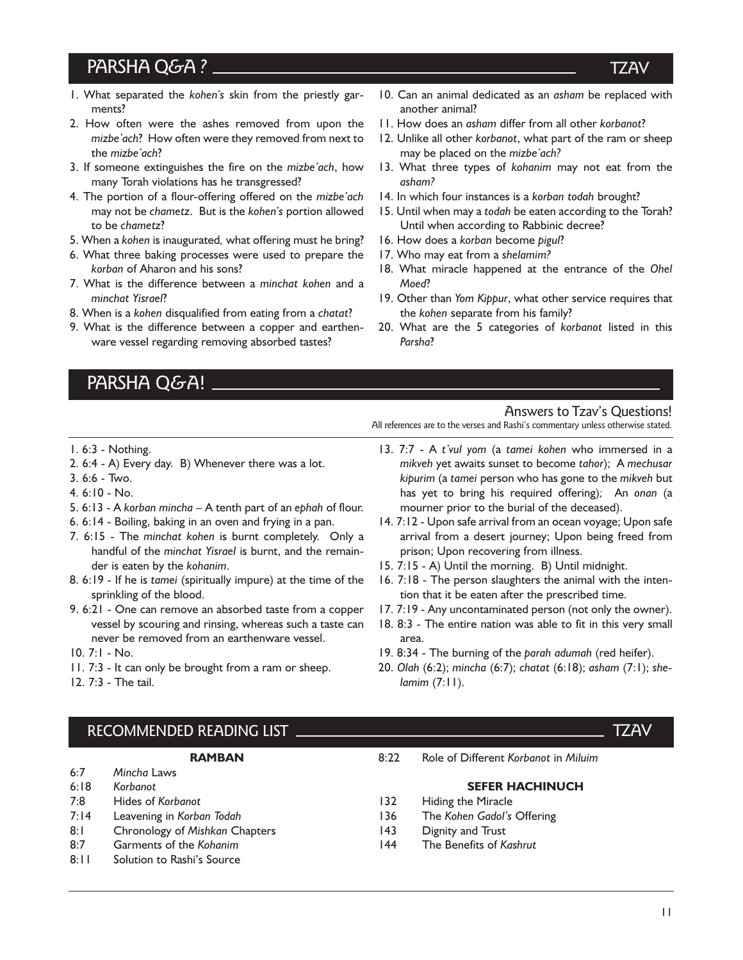## PARSHA Q&A?

- 1. What separated the kohen's skin from the priestly garments?
- 2. How often were the ashes removed from upon the mizbe'ach? How often were they removed from next to the mizbe'ach?
- 3. If someone extinguishes the fire on the mizbe'ach, how many Torah violations has he transgressed?
- 4. The portion of a flour-offering offered on the mizbe'ach may not be chametz. But is the kohen's portion allowed to be chametz?
- 5. When a kohen is inaugurated, what offering must he bring?
- 6. What three baking processes were used to prepare the korban of Aharon and his sons?
- 7. What is the difference between a minchat kohen and a minchat Yisrael?
- 8. When is a kohen disqualified from eating from a chatat?
- 9. What is the difference between a copper and earthenware vessel regarding removing absorbed tastes?
	- PARSHA Q&A!
- 10. Can an animal dedicated as an asham be replaced with another animal?
- 11. How does an asham differ from all other korbanot?
- 12. Unlike all other korbanot, what part of the ram or sheep may be placed on the mizbe'ach?
- 13. What three types of kohanim may not eat from the asham?
- 14. In which four instances is a korban todah brought?
- 15. Until when may a todah be eaten according to the Torah? Until when according to Rabbinic decree?
- 16. How does a korban become pigul?
- 17. Who may eat from a shelamim?
- 18. What miracle happened at the entrance of the Ohel Moed?
- 19. Other than Yom Kippur, what other service requires that the kohen separate from his family?
- 20. What are the 5 categories of korbanot listed in this Parsha?

#### Answers to Tzav's Questions!

All references are to the verses and Rashi's commentary unless otherwise stated.

- 1. 6:3 Nothing.
- 2. 6:4 A) Every day. B) Whenever there was a lot.
- 3. 6:6 Two.
- 4. 6:10 No.
- 5.  $6:13$  A korban mincha  $-$  A tenth part of an ephah of flour.
- 6. 6:14 Boiling, baking in an oven and frying in a pan.
- 7. 6:15 The minchat kohen is burnt completely. Only a handful of the minchat Yisrael is burnt, and the remainder is eaten by the kohanim.
- 8. 6:19 If he is tamei (spiritually impure) at the time of the sprinkling of the blood.
- 9. 6:21 One can remove an absorbed taste from a copper vessel by scouring and rinsing, whereas such a taste can never be removed from an earthenware vessel.
- 10. 7:1 No.
- 11. 7:3 It can only be brought from a ram or sheep.
- 12. 7:3 The tail.
- 13. 7:7 A t'vul yom (a tamei kohen who immersed in a mikveh yet awaits sunset to become tahor); A mechusar kipurim (a tamei person who has gone to the mikveh but has yet to bring his required offering); An onan (a mourner prior to the burial of the deceased).
- 14. 7:12 Upon safe arrival from an ocean voyage; Upon safe arrival from a desert journey; Upon being freed from prison; Upon recovering from illness.
- 15. 7:15 A) Until the morning. B) Until midnight.
- 16. 7:18 The person slaughters the animal with the intention that it be eaten after the prescribed time.
- 17. 7:19 Any uncontaminated person (not only the owner).
- 18. 8:3 The entire nation was able to fit in this very small area.
- 19. 8:34 The burning of the parah adumah (red heifer).
- 20. Olah (6:2); mincha (6:7); chatat (6:18); asham (7:1); shelamim (7:11).

#### RECOMMENDED READING LIST TZAV

#### RAMBAN

- 6:7 Mincha Laws 6:18 Korbanot
- 7:8 Hides of Korbanot
- 7:14 Leavening in Korban Todah
- 8:1 Chronology of Mishkan Chapters
- 8:7 Garments of the Kohanim
- 8:11 Solution to Rashi's Source

8:22 Role of Different Korbanot in Miluim

#### SEFER HACHINUCH

- 132 Hiding the Miracle
- 136 The Kohen Gadol's Offering
- 143 Dignity and Trust
- 144 The Benefits of Kashrut

#### TZAV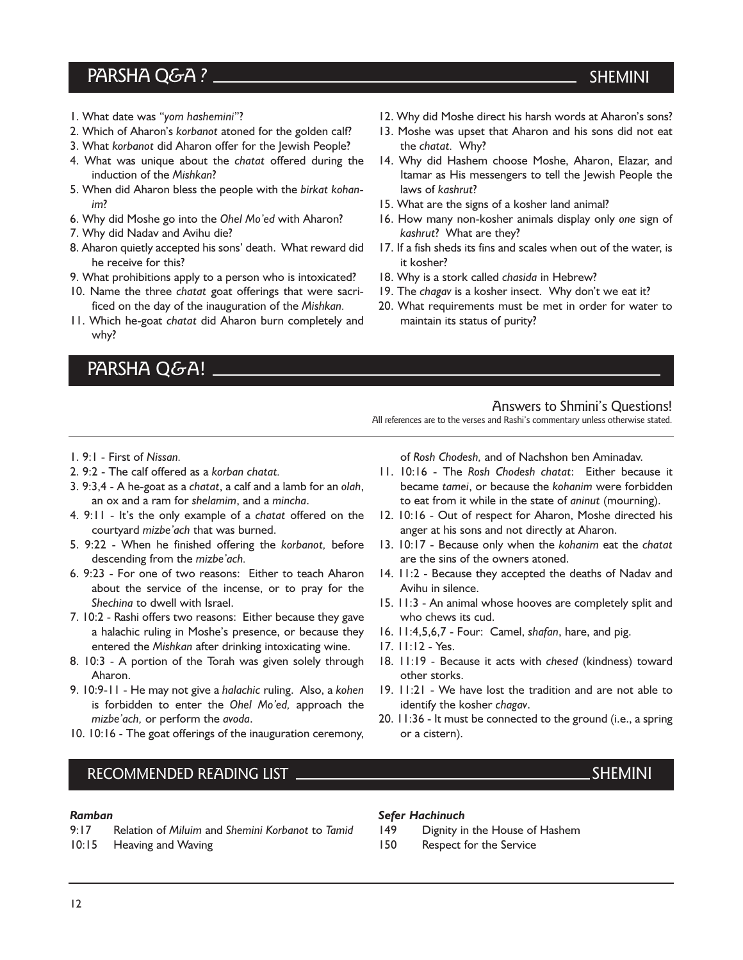## PARSHA Q&A?

- 1. What date was "yom hashemini"?
- 2. Which of Aharon's korbanot atoned for the golden calf?
- 3. What korbanot did Aharon offer for the Jewish People?
- 4. What was unique about the chatat offered during the induction of the Mishkan?
- 5. When did Aharon bless the people with the birkat kohanim?
- 6. Why did Moshe go into the Ohel Mo'ed with Aharon?
- 7. Why did Nadav and Avihu die?
- 8. Aharon quietly accepted his sons' death. What reward did he receive for this?
- 9. What prohibitions apply to a person who is intoxicated?
- 10. Name the three chatat goat offerings that were sacrificed on the day of the inauguration of the Mishkan.
- 11. Which he-goat chatat did Aharon burn completely and why?

3. 9:3,4 - A he-goat as a chatat, a calf and a lamb for an olah, an ox and a ram for shelamim, and a mincha. 4. 9:11 - It's the only example of a chatat offered on the

5. 9:22 - When he finished offering the korbanot, before

6. 9:23 - For one of two reasons: Either to teach Aharon about the service of the incense, or to pray for the

7. 10:2 - Rashi offers two reasons: Either because they gave a halachic ruling in Moshe's presence, or because they entered the Mishkan after drinking intoxicating wine. 8. 10:3 - A portion of the Torah was given solely through

9. 10:9-11 - He may not give a halachic ruling. Also, a kohen is forbidden to enter the Ohel Mo'ed, approach the

10. 10:16 - The goat offerings of the inauguration ceremony,

## PARSHA Q&A!

2. 9:2 - The calf offered as a korban chatat.

courtyard mizbe'ach that was burned.

descending from the mizbe'ach.

Shechina to dwell with Israel.

1. 9:1 - First of Nissan.

- 12. Why did Moshe direct his harsh words at Aharon's sons?
- 13. Moshe was upset that Aharon and his sons did not eat the chatat. Why?
- 14. Why did Hashem choose Moshe, Aharon, Elazar, and Itamar as His messengers to tell the Jewish People the laws of kashrut?
- 15. What are the signs of a kosher land animal?
- 16. How many non-kosher animals display only one sign of kashrut? What are they?
- 17. If a fish sheds its fins and scales when out of the water, is it kosher?
- 18. Why is a stork called chasida in Hebrew?
- 19. The chagav is a kosher insect. Why don't we eat it?
- 20. What requirements must be met in order for water to maintain its status of purity?

## of Rosh Chodesh, and of Nachshon ben Aminadav.

All references are to the verses and Rashi's commentary unless otherwise stated.

Answers to Shmini's Questions!

- 11. 10:16 The Rosh Chodesh chatat: Either because it became tamei, or because the kohanim were forbidden to eat from it while in the state of aninut (mourning).
- 12. 10:16 Out of respect for Aharon, Moshe directed his anger at his sons and not directly at Aharon.
- 13. 10:17 Because only when the kohanim eat the chatat are the sins of the owners atoned.
- 14. 11:2 Because they accepted the deaths of Nadav and Avihu in silence.
- 15. 11:3 An animal whose hooves are completely split and who chews its cud.
- 16. 11:4,5,6,7 Four: Camel, shafan, hare, and pig.
- 17. 11:12 Yes.
- 18. 11:19 Because it acts with chesed (kindness) toward other storks.
- 19. 11:21 We have lost the tradition and are not able to identify the kosher chagav.
- 20. 11:36 It must be connected to the ground (i.e., a spring or a cistern).

### RECOMMENDED READING LIST SHEMINI

mizbe'ach, or perform the avoda.

#### Ramban

Aharon.

9:17 Relation of Miluim and Shemini Korbanot to Tamid

10:15 Heaving and Waving

#### Sefer Hachinuch

- 149 Dignity in the House of Hashem
- 150 Respect for the Service

#### SHEMINI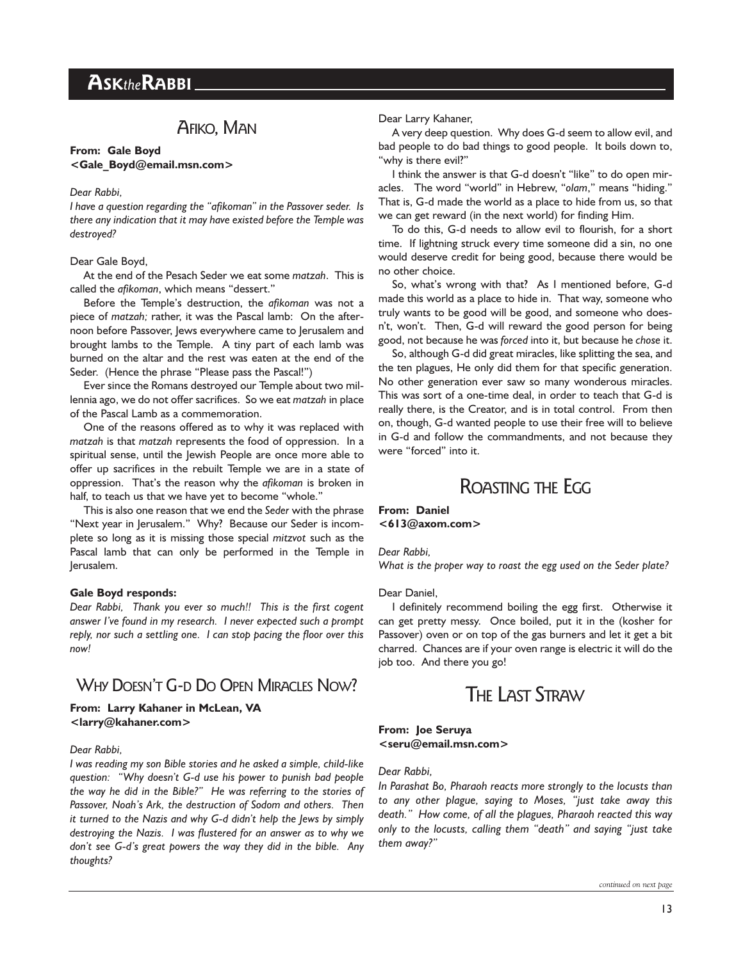## AFIKO, MAN

#### From: Gale Boyd <Gale Boyd@email.msn.com>

#### Dear Rabbi,

I have a question regarding the "afikoman" in the Passover seder. Is there any indication that it may have existed before the Temple was destroyed?

#### Dear Gale Boyd,

At the end of the Pesach Seder we eat some matzah. This is called the *afikoman*, which means "dessert."

Before the Temple's destruction, the afikoman was not a piece of matzah; rather, it was the Pascal lamb: On the afternoon before Passover, Jews everywhere came to Jerusalem and brought lambs to the Temple. A tiny part of each lamb was burned on the altar and the rest was eaten at the end of the Seder. (Hence the phrase "Please pass the Pascal!")

Ever since the Romans destroyed our Temple about two millennia ago, we do not offer sacrifices. So we eat matzah in place of the Pascal Lamb as a commemoration.

One of the reasons offered as to why it was replaced with matzah is that matzah represents the food of oppression. In a spiritual sense, until the Jewish People are once more able to offer up sacrifices in the rebuilt Temple we are in a state of oppression. That's the reason why the afikoman is broken in half, to teach us that we have yet to become "whole."

This is also one reason that we end the Seder with the phrase "Next year in Jerusalem." Why? Because our Seder is incomplete so long as it is missing those special mitzvot such as the Pascal lamb that can only be performed in the Temple in Jerusalem.

#### Gale Boyd responds:

Dear Rabbi, Thank you ever so much!! This is the first cogent answer I've found in my research. I never expected such a prompt reply, nor such a settling one. I can stop pacing the floor over this now!

## WHY DOESN'T G-D DO OPEN MIRACLES NOW?

#### From: Larry Kahaner in McLean, VA <larry@kahaner.com>

#### Dear Rabbi,

I was reading my son Bible stories and he asked a simple, child-like question: "Why doesn't G-d use his power to punish bad people the way he did in the Bible?" He was referring to the stories of Passover, Noah's Ark, the destruction of Sodom and others. Then it turned to the Nazis and why G-d didn't help the Jews by simply destroying the Nazis. I was flustered for an answer as to why we don't see G-d's great powers the way they did in the bible. Any thoughts?

#### Dear Larry Kahaner,

A very deep question. Why does G-d seem to allow evil, and bad people to do bad things to good people. It boils down to, "why is there evil?"

I think the answer is that G-d doesn't "like" to do open miracles. The word "world" in Hebrew, "olam," means "hiding." That is, G-d made the world as a place to hide from us, so that we can get reward (in the next world) for finding Him.

To do this, G-d needs to allow evil to flourish, for a short time. If lightning struck every time someone did a sin, no one would deserve credit for being good, because there would be no other choice.

So, what's wrong with that? As I mentioned before, G-d made this world as a place to hide in. That way, someone who truly wants to be good will be good, and someone who doesn't, won't. Then, G-d will reward the good person for being good, not because he was forced into it, but because he chose it.

So, although G-d did great miracles, like splitting the sea, and the ten plagues, He only did them for that specific generation. No other generation ever saw so many wonderous miracles. This was sort of a one-time deal, in order to teach that G-d is really there, is the Creator, and is in total control. From then on, though, G-d wanted people to use their free will to believe in G-d and follow the commandments, and not because they were "forced" into it.

## ROASTING THE EGG

#### From: Daniel  $<$ 613@axom.com>

Dear Rabbi,

What is the proper way to roast the egg used on the Seder plate?

#### Dear Daniel,

I definitely recommend boiling the egg first. Otherwise it can get pretty messy. Once boiled, put it in the (kosher for Passover) oven or on top of the gas burners and let it get a bit charred. Chances are if your oven range is electric it will do the job too. And there you go!

## THE LAST STRAW

#### From: Joe Seruya <seru@email.msn.com>

#### Dear Rabbi,

In Parashat Bo, Pharaoh reacts more strongly to the locusts than to any other plague, saying to Moses, "just take away this death." How come, of all the plagues, Pharaoh reacted this way only to the locusts, calling them "death" and saying "just take them away?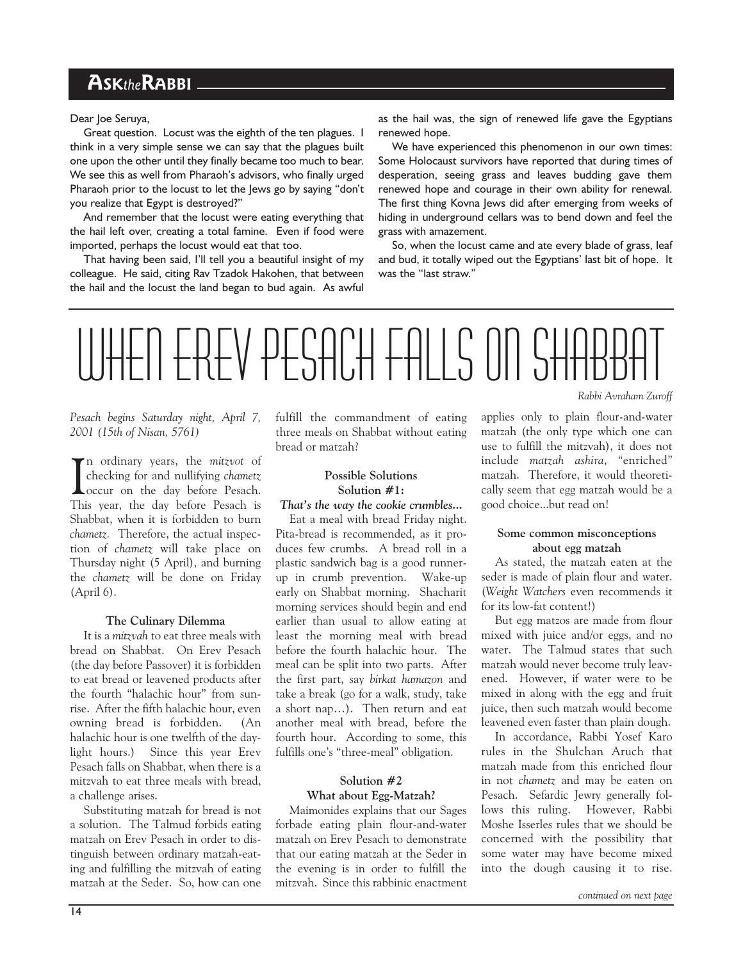## ASKtheRABBI

Dear Joe Seruya,

Great question. Locust was the eighth of the ten plagues. I think in a very simple sense we can say that the plagues built one upon the other until they finally became too much to bear. We see this as well from Pharaoh's advisors, who finally urged Pharaoh prior to the locust to let the lews go by saying "don't you realize that Egypt is destroyed?

And remember that the locust were eating everything that the hail left over, creating a total famine. Even if food were imported, perhaps the locust would eat that too.

That having been said, I'll tell you a beautiful insight of my colleague. He said, citing Rav Tzadok Hakohen, that between the hail and the locust the land began to bud again. As awful

as the hail was, the sign of renewed life gave the Egyptians renewed hope.

We have experienced this phenomenon in our own times: Some Holocaust survivors have reported that during times of desperation, seeing grass and leaves budding gave them renewed hope and courage in their own ability for renewal. The first thing Kovna Jews did after emerging from weeks of hiding in underground cellars was to bend down and feel the grass with amazement.

So, when the locust came and ate every blade of grass, leaf and bud, it totally wiped out the Egyptians' last bit of hope. It was the "last straw."

## WHEN EREV PESACH FALLS ON SHA Rabbi Avraham Zuroff

#### Pesach begins Saturday night, April 7, 2001 (15th of Nisan, 5761)

In ordinary years, the mitzvot of<br>checking for and nullifying chametz<br>occur on the day before Pesach.<br>This wer, the day before Besech is The ordinary years, the mitzvot of checking for and nullifying chametz This year, the day before Pesach is Shabbat, when it is forbidden to burn chametz. Therefore, the actual inspection of chametz will take place on Thursday night (5 April), and burning the chametz will be done on Friday (April 6).

#### The Culinary Dilemma

It is a mitzvah to eat three meals with bread on Shabbat. On Erev Pesach (the day before Passover) it is forbidden to eat bread or leavened products after the fourth "halachic hour" from sunrise. After the fifth halachic hour, even owning bread is forbidden. (An halachic hour is one twelfth of the daylight hours.) Since this year Erev Pesach falls on Shabbat, when there is a mitzvah to eat three meals with bread, a challenge arises.

Substituting matzah for bread is not a solution. The Talmud forbids eating matzah on Erev Pesach in order to distinguish between ordinary matzah-eating and fulfilling the mitzvah of eating matzah at the Seder. So, how can one fulfill the commandment of eating three meals on Shabbat without eating bread or matzah?

#### Possible Solutions Solution #1:

That's the way the cookie crumbles...

Eat a meal with bread Friday night. Pita-bread is recommended, as it produces few crumbs. A bread roll in a plastic sandwich bag is a good runnerup in crumb prevention. Wake-up early on Shabbat morning. Shacharit morning services should begin and end earlier than usual to allow eating at least the morning meal with bread before the fourth halachic hour. The meal can be split into two parts. After the first part, say birkat hamazon and take a break (go for a walk, study, take a short nap...). Then return and eat another meal with bread, before the fourth hour. According to some, this fulfills one's "three-meal" obligation.

#### Solution #2 What about Egg-Matzah?

Maimonides explains that our Sages forbade eating plain flour-and-water matzah on Erev Pesach to demonstrate that our eating matzah at the Seder in the evening is in order to fulfill the mitzvah. Since this rabbinic enactment applies only to plain flour-and-water matzah (the only type which one can use to fulfill the mitzvah), it does not include matzah ashira, "enriched" matzah. Therefore, it would theoretically seem that egg matzah would be a good choice...but read on!

#### Some common misconceptions about egg matzah

As stated, the matzah eaten at the seder is made of plain flour and water. (Weight Watchers even recommends it for its low-fat content!)

But egg matzos are made from flour mixed with juice and/or eggs, and no water. The Talmud states that such matzah would never become truly leavened. However, if water were to be mixed in along with the egg and fruit juice, then such matzah would become leavened even faster than plain dough.

In accordance, Rabbi Yosef Karo rules in the Shulchan Aruch that matzah made from this enriched flour in not chametz and may be eaten on Pesach. Sefardic Jewry generally follows this ruling. However, Rabbi Moshe Isserles rules that we should be concerned with the possibility that some water may have become mixed into the dough causing it to rise.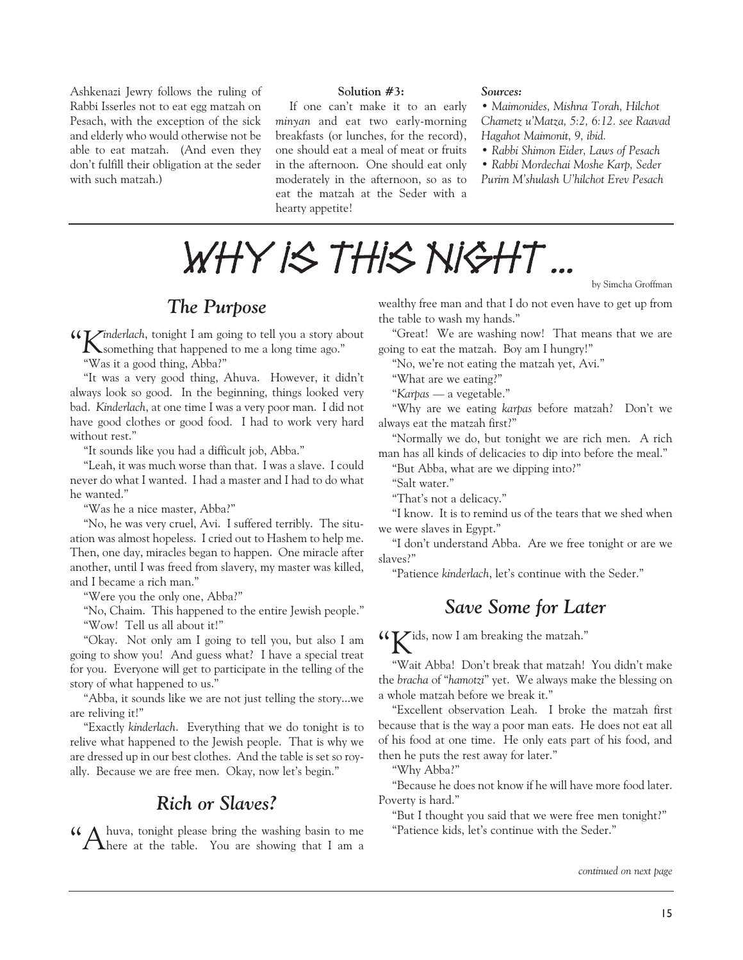Ashkenazi Jewry follows the ruling of Rabbi Isserles not to eat egg matzah on Pesach, with the exception of the sick and elderly who would otherwise not be able to eat matzah. (And even they don't fulfill their obligation at the seder with such matzah.)

#### Solution #3:

If one can't make it to an early minyan and eat two early-morning breakfasts (or lunches, for the record), one should eat a meal of meat or fruits in the afternoon. One should eat only moderately in the afternoon, so as to eat the matzah at the Seder with a hearty appetite!

#### Sources:

 Maimonides, Mishna Torah, Hilchot Chametz u'Matza, 5:2, 6:12. see Raavad Hagahot Maimonit, 9, ibid.

Rabbi Shimon Eider, Laws of Pesach

Rabbi Mordechai Moshe Karp, Seder

Purim M'shulash U'hilchot Erev Pesach

by Simcha Groffman



The Purpose

Kinderlach, tonight I am going to tell you a story about something that happened to me a long time ago.

Was it a good thing, Abba?

"It was a very good thing, Ahuva. However, it didn't always look so good. In the beginning, things looked very bad. Kinderlach, at one time I was a very poor man. I did not have good clothes or good food. I had to work very hard without rest."

"It sounds like you had a difficult job, Abba."

Leah, it was much worse than that. I was a slave. I could never do what I wanted. I had a master and I had to do what he wanted.

Was he a nice master, Abba?

No, he was very cruel, Avi. I suffered terribly. The situation was almost hopeless. I cried out to Hashem to help me. Then, one day, miracles began to happen. One miracle after another, until I was freed from slavery, my master was killed, and I became a rich man.

"Were you the only one, Abba?"

"No, Chaim. This happened to the entire Jewish people."

"Wow! Tell us all about it!"

Okay. Not only am I going to tell you, but also I am going to show you! And guess what? I have a special treat for you. Everyone will get to participate in the telling of the story of what happened to us.

Abba, it sounds like we are not just telling the story...we are reliving it!

Exactly kinderlach. Everything that we do tonight is to relive what happened to the Jewish people. That is why we are dressed up in our best clothes. And the table is set so royally. Because we are free men. Okay, now let's begin."

## Rich or Slaves?

Ahuva, tonight please bring the washing basin to me here at the table. You are showing that I am a

wealthy free man and that I do not even have to get up from the table to wash my hands.

Great! We are washing now! That means that we are going to eat the matzah. Boy am I hungry!

"No, we're not eating the matzah yet, Avi."

What are we eating?

"Karpas — a vegetable."

"Why are we eating karpas before matzah? Don't we always eat the matzah first?

Normally we do, but tonight we are rich men. A rich man has all kinds of delicacies to dip into before the meal.

But Abba, what are we dipping into?

"Salt water."

"That's not a delicacy."

"I know. It is to remind us of the tears that we shed when we were slaves in Egypt.

"I don't understand Abba. Are we free tonight or are we slaves?

"Patience kinderlach, let's continue with the Seder."

## Save Some for Later

Kids, now I am breaking the matzah.

"Wait Abba! Don't break that matzah! You didn't make the bracha of "hamotzi" yet. We always make the blessing on a whole matzah before we break it.

Excellent observation Leah. I broke the matzah first because that is the way a poor man eats. He does not eat all of his food at one time. He only eats part of his food, and then he puts the rest away for later.

Why Abba?

Because he does not know if he will have more food later. Poverty is hard."

"But I thought you said that we were free men tonight?" "Patience kids, let's continue with the Seder."

continued on next page